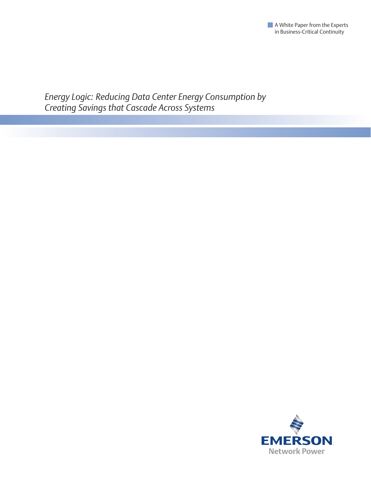

*Energy Logic: Reducing Data Center Energy Consumption by Creating Savings that Cascade Across Systems*

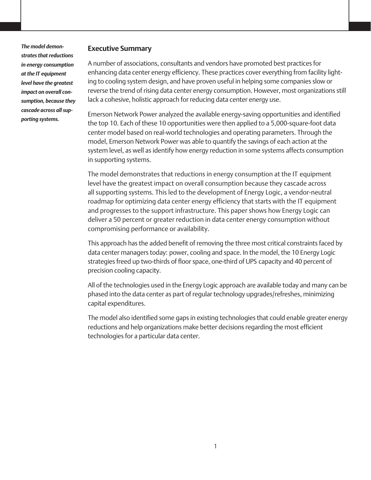*The model demonstrates that reductions in energy consumption at the IT equipment level have the greatest impact on overall consumption, because they cascade across all supporting systems.* 

### **Executive Summary**

A number of associations, consultants and vendors have promoted best practices for enhancing data center energy efficiency. These practices cover everything from facility lighting to cooling system design, and have proven useful in helping some companies slow or reverse the trend of rising data center energy consumption. However, most organizations still lack a cohesive, holistic approach for reducing data center energy use.

Emerson Network Power analyzed the available energy-saving opportunities and identified the top 10. Each of these 10 opportunities were then applied to a 5,000-square-foot data center model based on real-world technologies and operating parameters. Through the model, Emerson Network Power was able to quantify the savings of each action at the system level, as well as identify how energy reduction in some systems affects consumption in supporting systems.

The model demonstrates that reductions in energy consumption at the IT equipment level have the greatest impact on overall consumption because they cascade across all supporting systems. This led to the development of Energy Logic, a vendor-neutral roadmap for optimizing data center energy efficiency that starts with the IT equipment and progresses to the support infrastructure. This paper shows how Energy Logic can deliver a 50 percent or greater reduction in data center energy consumption without compromising performance or availability.

This approach has the added benefit of removing the three most critical constraints faced by data center managers today: power, cooling and space. In the model, the 10 Energy Logic strategies freed up two-thirds of floor space, one-third of UPS capacity and 40 percent of precision cooling capacity.

All of the technologies used in the Energy Logic approach are available today and many can be phased into the data center as part of regular technology upgrades/refreshes, minimizing capital expenditures.

The model also identified some gaps in existing technologies that could enable greater energy reductions and help organizations make better decisions regarding the most efficient technologies for a particular data center.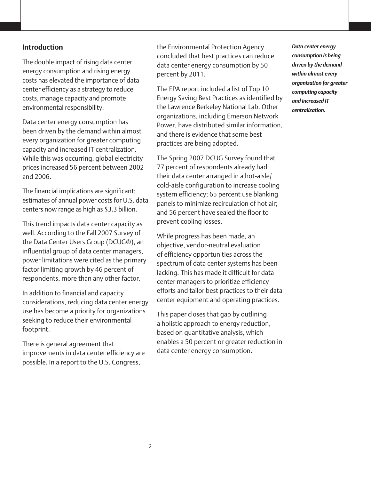### **Introduction**

The double impact of rising data center energy consumption and rising energy costs has elevated the importance of data center efficiency as a strategy to reduce costs, manage capacity and promote environmental responsibility.

Data center energy consumption has been driven by the demand within almost every organization for greater computing capacity and increased IT centralization. While this was occurring, global electricity prices increased 56 percent between 2002 and 2006.

The financial implications are significant; estimates of annual power costs for U.S. data centers now range as high as \$3.3 billion.

This trend impacts data center capacity as well. According to the Fall 2007 Survey of the Data Center Users Group (DCUG®), an influential group of data center managers, power limitations were cited as the primary factor limiting growth by 46 percent of respondents, more than any other factor.

In addition to financial and capacity considerations, reducing data center energy use has become a priority for organizations seeking to reduce their environmental footprint.

There is general agreement that improvements in data center efficiency are possible. In a report to the U.S. Congress,

the Environmental Protection Agency concluded that best practices can reduce data center energy consumption by 50 percent by 2011.

The EPA report included a list of Top 10 Energy Saving Best Practices as identified by the Lawrence Berkeley National Lab. Other organizations, including Emerson Network Power, have distributed similar information, and there is evidence that some best practices are being adopted.

The Spring 2007 DCUG Survey found that 77 percent of respondents already had their data center arranged in a hot-aisle/ cold-aisle configuration to increase cooling system efficiency; 65 percent use blanking panels to minimize recirculation of hot air; and 56 percent have sealed the floor to prevent cooling losses.

While progress has been made, an objective, vendor-neutral evaluation of efficiency opportunities across the spectrum of data center systems has been lacking. This has made it difficult for data center managers to prioritize efficiency efforts and tailor best practices to their data center equipment and operating practices.

This paper closes that gap by outlining a holistic approach to energy reduction, based on quantitative analysis, which enables a 50 percent or greater reduction in data center energy consumption.

*Data center energy consumption is being driven by the demand within almost every organization for greater computing capacity and increased IT centralization.*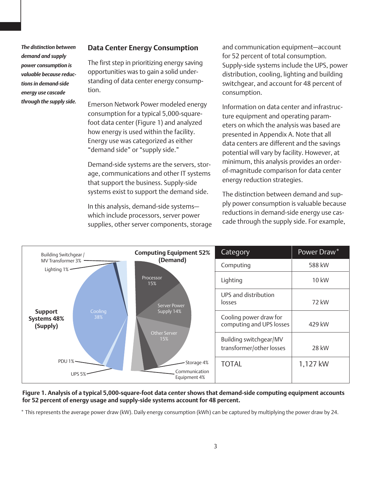*The distinction between demand and supply power consumption is valuable because reductions in demand-side energy use cascade through the supply side.* 

### **Data Center Energy Consumption**

The first step in prioritizing energy saving opportunities was to gain a solid understanding of data center energy consumption.

Emerson Network Power modeled energy consumption for a typical 5,000-squarefoot data center (Figure 1) and analyzed how energy is used within the facility. Energy use was categorized as either "demand side" or "supply side."

Demand-side systems are the servers, storage, communications and other IT systems that support the business. Supply-side systems exist to support the demand side.

In this analysis, demand-side systems which include processors, server power supplies, other server components, storage and communication equipment—account for 52 percent of total consumption. Supply-side systems include the UPS, power distribution, cooling, lighting and building switchgear, and account for 48 percent of consumption.

Information on data center and infrastructure equipment and operating parameters on which the analysis was based are presented in Appendix A. Note that all data centers are different and the savings potential will vary by facility. However, at minimum, this analysis provides an orderof-magnitude comparison for data center energy reduction strategies.

The distinction between demand and supply power consumption is valuable because reductions in demand-side energy use cascade through the supply side. For example,



#### **Figure 1. Analysis of a typical 5,000-square-foot data center shows that demand-side computing equipment accounts for 52 percent of energy usage and supply-side systems account for 48 percent.**

\* This represents the average power draw (kW). Daily energy consumption (kWh) can be captured by multiplying the power draw by 24.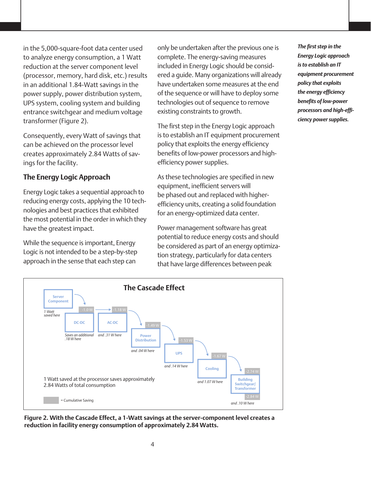in the 5,000-square-foot data center used to analyze energy consumption, a 1 Watt reduction at the server component level (processor, memory, hard disk, etc.) results in an additional 1.84-Watt savings in the power supply, power distribution system, UPS system, cooling system and building entrance switchgear and medium voltage transformer (Figure 2).

Consequently, every Watt of savings that can be achieved on the processor level creates approximately 2.84 Watts of savings for the facility.

## **The Energy Logic Approach**

Energy Logic takes a sequential approach to reducing energy costs, applying the 10 technologies and best practices that exhibited the most potential in the order in which they have the greatest impact.

While the sequence is important, Energy Logic is not intended to be a step-by-step approach in the sense that each step can

only be undertaken after the previous one is complete. The energy-saving measures included in Energy Logic should be considered a guide. Many organizations will already have undertaken some measures at the end of the sequence or will have to deploy some technologies out of sequence to remove existing constraints to growth.

The first step in the Energy Logic approach is to establish an IT equipment procurement policy that exploits the energy efficiency benefits of low-power processors and highefficiency power supplies.

As these technologies are specified in new equipment, inefficient servers will be phased out and replaced with higherefficiency units, creating a solid foundation for an energy-optimized data center.

Power management software has great potential to reduce energy costs and should be considered as part of an energy optimization strategy, particularly for data centers that have large differences between peak

*The first step in the Energy Logic approach is to establish an IT equipment procurement policy that exploits the energy efficiency benefits of low-power processors and high-efficiency power supplies.* 



**Figure 2. With the Cascade Effect, a 1-Watt savings at the server-component level creates a reduction in facility energy consumption of approximately 2.84 Watts.**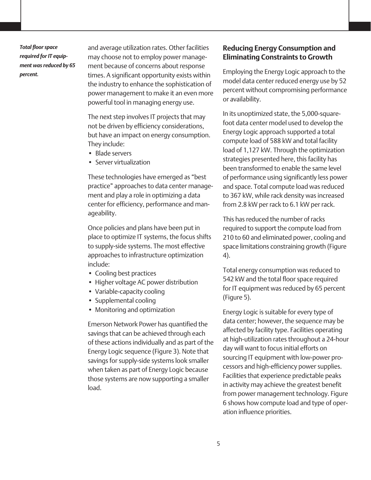*Total floor space required for IT equipment was reduced by 65 percent.* 

and average utilization rates. Other facilities may choose not to employ power management because of concerns about response times. A significant opportunity exists within the industry to enhance the sophistication of power management to make it an even more powerful tool in managing energy use.

The next step involves IT projects that may not be driven by efficiency considerations, but have an impact on energy consumption. They include:

- Blade servers
- • Server virtualization

These technologies have emerged as "best practice" approaches to data center management and play a role in optimizing a data center for efficiency, performance and manageability.

Once policies and plans have been put in place to optimize IT systems, the focus shifts to supply-side systems. The most effective approaches to infrastructure optimization include:

- Cooling best practices
- Higher voltage AC power distribution
- Variable-capacity cooling
- Supplemental cooling
- Monitoring and optimization

Emerson Network Power has quantified the savings that can be achieved through each of these actions individually and as part of the Energy Logic sequence (Figure 3). Note that savings for supply-side systems look smaller when taken as part of Energy Logic because those systems are now supporting a smaller load.

### **Reducing Energy Consumption and Eliminating Constraints to Growth**

Employing the Energy Logic approach to the model data center reduced energy use by 52 percent without compromising performance or availability.

In its unoptimized state, the 5,000-squarefoot data center model used to develop the Energy Logic approach supported a total compute load of 588 kW and total facility load of 1,127 kW. Through the optimization strategies presented here, this facility has been transformed to enable the same level of performance using significantly less power and space. Total compute load was reduced to 367 kW, while rack density was increased from 2.8 kW per rack to 6.1 kW per rack.

This has reduced the number of racks required to support the compute load from 210 to 60 and eliminated power, cooling and space limitations constraining growth (Figure 4).

Total energy consumption was reduced to 542 kW and the total floor space required for IT equipment was reduced by 65 percent (Figure 5).

Energy Logic is suitable for every type of data center; however, the sequence may be affected by facility type. Facilities operating at high-utilization rates throughout a 24-hour day will want to focus initial efforts on sourcing IT equipment with low-power processors and high-efficiency power supplies. Facilities that experience predictable peaks in activity may achieve the greatest benefit from power management technology. Figure 6 shows how compute load and type of operation influence priorities.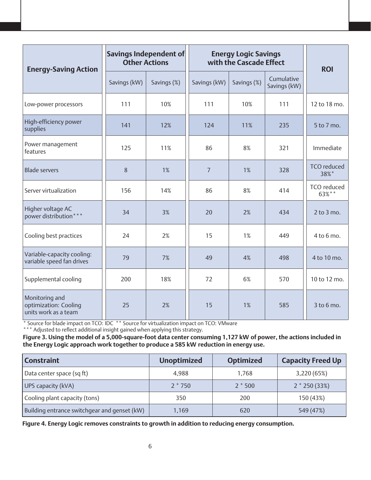| <b>Energy-Saving Action</b>                                     | Savings Independent of<br><b>Other Actions</b> |             | <b>Energy Logic Savings</b><br>with the Cascade Effect |             |                            | <b>ROI</b>                 |
|-----------------------------------------------------------------|------------------------------------------------|-------------|--------------------------------------------------------|-------------|----------------------------|----------------------------|
|                                                                 | Savings (kW)                                   | Savings (%) | Savings (kW)                                           | Savings (%) | Cumulative<br>Savings (kW) |                            |
| Low-power processors                                            | 111                                            | 10%         | 111                                                    | 10%         | 111                        | 12 to 18 mo.               |
| High-efficiency power<br>supplies                               | 141                                            | 12%         | 124                                                    | 11%         | 235                        | 5 to 7 mo.                 |
| Power management<br>features                                    | 125                                            | 11%         | 86                                                     | 8%          | 321                        | Immediate                  |
| <b>Blade servers</b>                                            | 8                                              | 1%          | $\overline{7}$                                         | 1%          | 328                        | <b>TCO</b> reduced<br>38%* |
| Server virtualization                                           | 156                                            | 14%         | 86                                                     | 8%          | 414                        | TCO reduced<br>63%**       |
| Higher voltage AC<br>power distribution*                        | 34                                             | 3%          | 20                                                     | 2%          | 434                        | $2$ to $3$ mo.             |
| Cooling best practices                                          | 24                                             | 2%          | 15                                                     | 1%          | 449                        | 4 to 6 mo.                 |
| Variable-capacity cooling:<br>variable speed fan drives         | 79                                             | 7%          | 49                                                     | 4%          | 498                        | 4 to 10 mo.                |
| Supplemental cooling                                            | 200                                            | 18%         | 72                                                     | 6%          | 570                        | 10 to 12 mo.               |
| Monitoring and<br>optimization: Cooling<br>units work as a team | 25                                             | 2%          | 15                                                     | 1%          | 585                        | $3$ to $6$ mo.             |

\* Source for blade impact on TCO: IDC \*\* Source for virtualization impact on TCO: VMware

\*\*\* Adjusted to reflect additional insight gained when applying this strategy.

**Figure 3. Using the model of a 5,000-square-foot data center consuming 1,127 kW of power, the actions included in the Energy Logic approach work together to produce a 585 kW reduction in energy use.** 

| <b>Constraint</b>                            | <b>Unoptimized</b> | <b>Optimized</b> | <b>Capacity Freed Up</b> |  |
|----------------------------------------------|--------------------|------------------|--------------------------|--|
| Data center space (sq ft)                    | 4,988              | 1.768            | 3,220 (65%)              |  |
| UPS capacity (kVA)                           | $2 * 750$          | $2 * 500$        | $2 * 250 (33%)$          |  |
| Cooling plant capacity (tons)                | 350                | 200              | 150 (43%)                |  |
| Building entrance switchgear and genset (kW) | 1,169              | 620              | 549 (47%)                |  |

**Figure 4. Energy Logic removes constraints to growth in addition to reducing energy consumption.**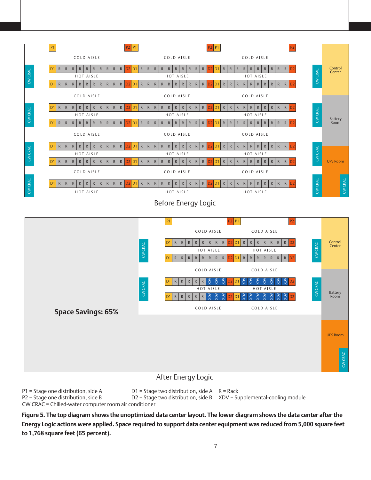

Before Energy Logic



### After Energy Logic

P1 = Stage one distribution, side A  $D1$  = Stage two distribution, side A R = Rack<br>P2 = Stage one distribution, side B  $D2$  = Stage two distribution, side B  $XDV$  = Su  $D2$  = Stage two distribution, side B  $XDV$  = Supplemental-cooling module CW CRAC = Chilled-water computer room air conditioner

**Figure 5. The top diagram shows the unoptimized data center layout. The lower diagram shows the data center after the Energy Logic actions were applied. Space required to support data center equipment was reduced from 5,000 square feet to 1,768 square feet (65 percent).**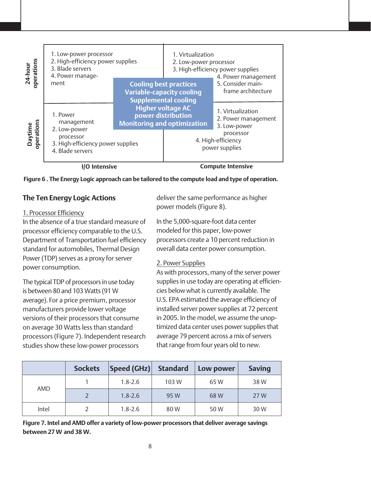

**Figure 6 . The Energy Logic approach can be tailored to the compute load and type of operation.** 

## **The Ten Energy Logic Actions**

### 1. Processor Efficiency

In the absence of a true standard measure of processor efficiency comparable to the U.S. Department of Transportation fuel efficiency standard for automobiles, Thermal Design Power (TDP) serves as a proxy for server power consumption.

The typical TDP of processors in use today is between 80 and 103 Watts (91 W average). For a price premium, processor manufacturers provide lower voltage versions of their processors that consume on average 30 Watts less than standard processors (Figure 7). Independent research studies show these low-power processors

deliver the same performance as higher power models (Figure 8).

In the 5,000-square-foot data center modeled for this paper, low-power processors create a 10 percent reduction in overall data center power consumption.

### 2. Power Supplies

As with processors, many of the server power supplies in use today are operating at efficiencies below what is currently available. The U.S. EPA estimated the average efficiency of installed server power supplies at 72 percent in 2005. In the model, we assume the unoptimized data center uses power supplies that average 79 percent across a mix of servers that range from four years old to new.

|       | <b>Sockets</b> | Speed (GHz) | <b>Standard</b> | Low power | <b>Saving</b> |
|-------|----------------|-------------|-----------------|-----------|---------------|
| AMD   |                | $1.8 - 2.6$ | 103W            | 65 W      | 38 W          |
|       |                | $1.8 - 2.6$ | 95 W            | 68 W      | 27 W          |
| Intel |                | $1.8 - 2.6$ | 80 W            | 50 W      | 30 W          |

**Figure 7. Intel and AMD offer a variety of low-power processors that deliver average savings between 27 W and 38 W.**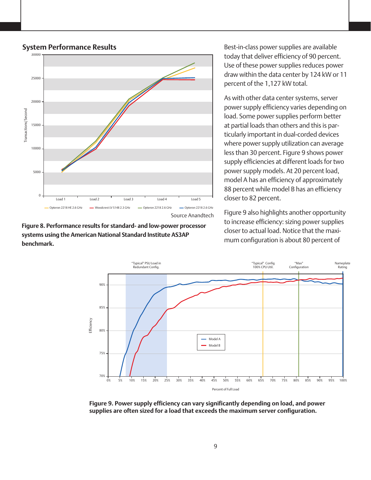

### System Performance Results



Best-in-class power supplies are available today that deliver efficiency of 90 percent. Use of these power supplies reduces power draw within the data center by 124 kW or 11 percent of the 1,127 kW total.

As with other data center systems, server power supply efficiency varies depending on load. Some power supplies perform better at partial loads than others and this is particularly important in dual-corded devices where power supply utilization can average less than 30 percent. Figure 9 shows power supply efficiencies at different loads for two power supply models. At 20 percent load, model A has an efficiency of approximately 88 percent while model B has an efficiency closer to 82 percent.

Figure 9 also highlights another opportunity to increase efficiency: sizing power supplies closer to actual load. Notice that the maximum configuration is about 80 percent of



**Figure 9. Power supply efficiency can vary significantly depending on load, and power supplies are often sized for a load that exceeds the maximum server configuration.**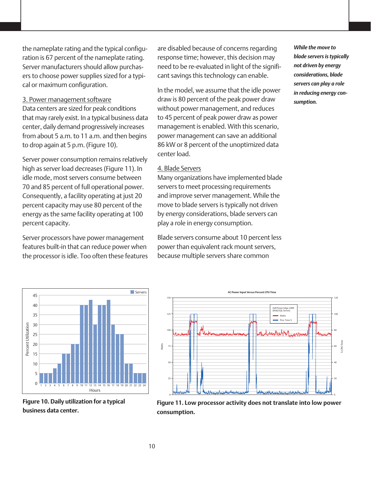the nameplate rating and the typical configuration is 67 percent of the nameplate rating. Server manufacturers should allow purchasers to choose power supplies sized for a typical or maximum configuration.

### 3. Power management software

Data centers are sized for peak conditions that may rarely exist. In a typical business data center, daily demand progressively increases from about 5 a.m. to 11 a.m. and then begins to drop again at 5 p.m. (Figure 10).

Server power consumption remains relatively high as server load decreases (Figure 11). In idle mode, most servers consume between 70 and 85 percent of full operational power. Consequently, a facility operating at just 20 percent capacity may use 80 percent of the energy as the same facility operating at 100 percent capacity.

Server processors have power management features built-in that can reduce power when the processor is idle. Too often these features are disabled because of concerns regarding response time; however, this decision may need to be re-evaluated in light of the significant savings this technology can enable.

In the model, we assume that the idle power draw is 80 percent of the peak power draw without power management, and reduces to 45 percent of peak power draw as power management is enabled. With this scenario, power management can save an additional 86 kW or 8 percent of the unoptimized data center load.

#### 4. Blade Servers

Many organizations have implemented blade servers to meet processing requirements and improve server management. While the move to blade servers is typically not driven by energy considerations, blade servers can play a role in energy consumption.

Blade servers consume about 10 percent less power than equivalent rack mount servers, because multiple servers share common





**Figure 10. Daily utilization for a typical business data center.**



**Figure 11. Low processor activity does not translate into low power consumption.**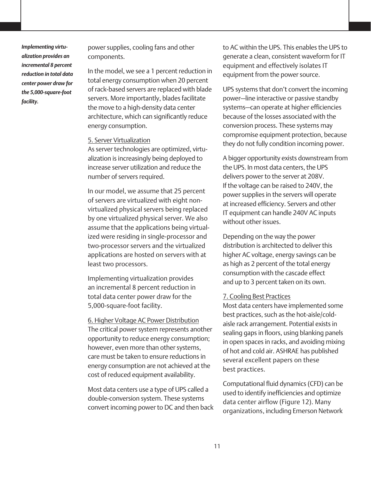*Implementing virtualization provides an incremental 8 percent reduction in total data center power draw for the 5,000-square-foot facility.*

power supplies, cooling fans and other components.

In the model, we see a 1 percent reduction in total energy consumption when 20 percent of rack-based servers are replaced with blade servers. More importantly, blades facilitate the move to a high-density data center architecture, which can significantly reduce energy consumption.

#### 5. Server Virtualization

As server technologies are optimized, virtualization is increasingly being deployed to increase server utilization and reduce the number of servers required.

In our model, we assume that 25 percent of servers are virtualized with eight nonvirtualized physical servers being replaced by one virtualized physical server. We also assume that the applications being virtualized were residing in single-processor and two-processor servers and the virtualized applications are hosted on servers with at least two processors.

Implementing virtualization provides an incremental 8 percent reduction in total data center power draw for the 5,000-square-foot facility.

6. Higher Voltage AC Power Distribution The critical power system represents another opportunity to reduce energy consumption; however, even more than other systems, care must be taken to ensure reductions in energy consumption are not achieved at the cost of reduced equipment availability.

Most data centers use a type of UPS called a double-conversion system. These systems convert incoming power to DC and then back to AC within the UPS. This enables the UPS to generate a clean, consistent waveform for IT equipment and effectively isolates IT equipment from the power source.

UPS systems that don't convert the incoming power—line interactive or passive standby systems—can operate at higher efficiencies because of the losses associated with the conversion process. These systems may compromise equipment protection, because they do not fully condition incoming power.

A bigger opportunity exists downstream from the UPS. In most data centers, the UPS delivers power to the server at 208V. If the voltage can be raised to 240V, the power supplies in the servers will operate at increased efficiency. Servers and other IT equipment can handle 240V AC inputs without other issues.

Depending on the way the power distribution is architected to deliver this higher AC voltage, energy savings can be as high as 2 percent of the total energy consumption with the cascade effect and up to 3 percent taken on its own.

#### 7. Cooling Best Practices

Most data centers have implemented some best practices, such as the hot-aisle/coldaisle rack arrangement. Potential exists in sealing gaps in floors, using blanking panels in open spaces in racks, and avoiding mixing of hot and cold air. ASHRAE has published several excellent papers on these best practices.

Computational fluid dynamics (CFD) can be used to identify inefficiencies and optimize data center airflow (Figure 12). Many organizations, including Emerson Network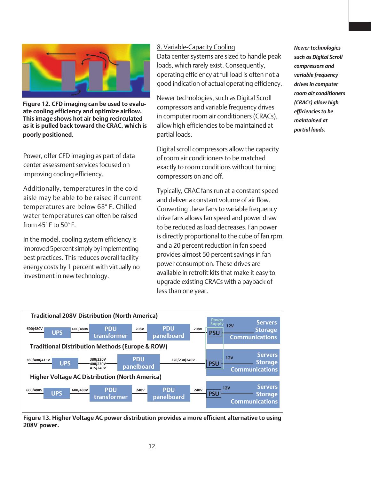

**Figure 12. CFD imaging can be used to evaluate cooling efficiency and optimize airflow. This image shows hot air being recirculated as it is pulled back toward the CRAC, which is poorly positioned.**

Power, offer CFD imaging as part of data center assessment services focused on improving cooling efficiency.

Additionally, temperatures in the cold aisle may be able to be raised if current temperatures are below 68° F. Chilled water temperatures can often be raised from 45° F to 50° F.

In the model, cooling system efficiency is improved 5percent simply by implementing best practices. This reduces overall facility energy costs by 1 percent with virtually no investment in new technology.

### 8. Variable-Capacity Cooling

Data center systems are sized to handle peak loads, which rarely exist. Consequently, operating efficiency at full load is often not a good indication of actual operating efficiency.

Newer technologies, such as Digital Scroll compressors and variable frequency drives in computer room air conditioners (CRACs), allow high efficiencies to be maintained at partial loads.

Digital scroll compressors allow the capacity of room air conditioners to be matched exactly to room conditions without turning compressors on and off.

Typically, CRAC fans run at a constant speed and deliver a constant volume of air flow. Converting these fans to variable frequency drive fans allows fan speed and power draw to be reduced as load decreases. Fan power is directly proportional to the cube of fan rpm and a 20 percent reduction in fan speed provides almost 50 percent savings in fan power consumption. These drives are available in retrofit kits that make it easy to upgrade existing CRACs with a payback of less than one year.

*Newer technologies such as Digital Scroll compressors and variable frequency drives in computer room air conditioners (CRACs) allow high efficiencies to be maintained at partial loads.*



**Figure 13. Higher Voltage AC power distribution provides a more efficient alternative to using 208V power.**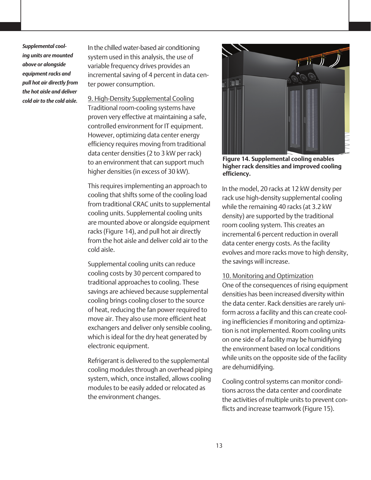*Supplemental cooling units are mounted above or alongside equipment racks and pull hot air directly from the hot aisle and deliver cold air to the cold aisle.* 

In the chilled water-based air conditioning system used in this analysis, the use of variable frequency drives provides an incremental saving of 4 percent in data center power consumption.

9. High-Density Supplemental Cooling Traditional room-cooling systems have proven very effective at maintaining a safe, controlled environment for IT equipment. However, optimizing data center energy efficiency requires moving from traditional data center densities (2 to 3 kW per rack) to an environment that can support much higher densities (in excess of 30 kW).

This requires implementing an approach to cooling that shifts some of the cooling load from traditional CRAC units to supplemental cooling units. Supplemental cooling units are mounted above or alongside equipment racks (Figure 14), and pull hot air directly from the hot aisle and deliver cold air to the cold aisle.

Supplemental cooling units can reduce cooling costs by 30 percent compared to traditional approaches to cooling. These savings are achieved because supplemental cooling brings cooling closer to the source of heat, reducing the fan power required to move air. They also use more efficient heat exchangers and deliver only sensible cooling, which is ideal for the dry heat generated by electronic equipment.

Refrigerant is delivered to the supplemental cooling modules through an overhead piping system, which, once installed, allows cooling modules to be easily added or relocated as the environment changes.



**Figure 14. Supplemental cooling enables higher rack densities and improved cooling efficiency.**

In the model, 20 racks at 12 kW density per rack use high-density supplemental cooling while the remaining 40 racks (at 3.2 kW density) are supported by the traditional room cooling system. This creates an incremental 6 percent reduction in overall data center energy costs. As the facility evolves and more racks move to high density, the savings will increase.

### 10. Monitoring and Optimization

One of the consequences of rising equipment densities has been increased diversity within the data center. Rack densities are rarely uniform across a facility and this can create cooling inefficiencies if monitoring and optimization is not implemented. Room cooling units on one side of a facility may be humidifying the environment based on local conditions while units on the opposite side of the facility are dehumidifying.

Cooling control systems can monitor conditions across the data center and coordinate the activities of multiple units to prevent conflicts and increase teamwork (Figure 15).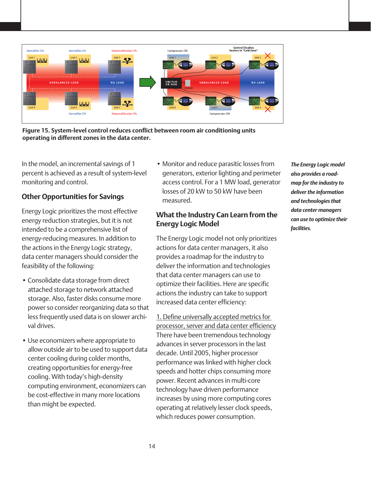

**Figure 15. System-level control reduces conflict between room air conditioning units operating in different zones in the data center.**

In the model, an incremental savings of 1 percent is achieved as a result of system-level monitoring and control.

## **Other Opportunities for Savings**

Energy Logic prioritizes the most effective energy reduction strategies, but it is not intended to be a comprehensive list of energy-reducing measures. In addition to the actions in the Energy Logic strategy, data center managers should consider the feasibility of the following:

- Consolidate data storage from direct attached storage to network attached storage. Also, faster disks consume more power so consider reorganizing data so that less frequently used data is on slower archival drives.
- Use economizers where appropriate to allow outside air to be used to support data center cooling during colder months, creating opportunities for energy-free cooling. With today's high-density computing environment, economizers can be cost-effective in many more locations than might be expected.

• Monitor and reduce parasitic losses from generators, exterior lighting and perimeter access control. For a 1 MW load, generator losses of 20 kW to 50 kW have been measured.

## **What the Industry Can Learn from the Energy Logic Model**

The Energy Logic model not only prioritizes actions for data center managers, it also provides a roadmap for the industry to deliver the information and technologies that data center managers can use to optimize their facilities. Here are specific actions the industry can take to support increased data center efficiency:

1. Define universally accepted metrics for processor, server and data center efficiency There have been tremendous technology advances in server processors in the last decade. Until 2005, higher processor performance was linked with higher clock speeds and hotter chips consuming more power. Recent advances in multi-core technology have driven performance increases by using more computing cores operating at relatively lesser clock speeds, which reduces power consumption.

*The Energy Logic model also provides a roadmap for the industry to deliver the information and technologies that data center managers can use to optimize their facilities.*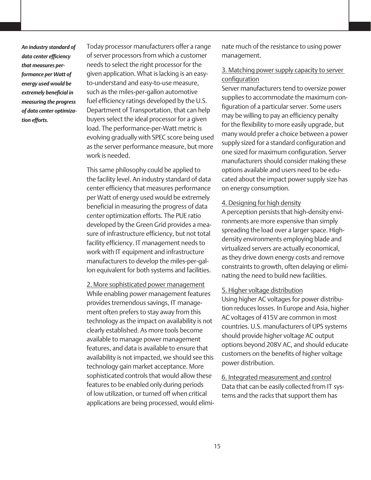*An industry standard of data center efficiency that measures performance per Watt of energy used would be extremely beneficial in measuring the progress of data center optimization efforts.*

Today processor manufacturers offer a range of server processors from which a customer needs to select the right processor for the given application. What is lacking is an easyto-understand and easy-to-use measure, such as the miles-per-gallon automotive fuel efficiency ratings developed by the U.S. Department of Transportation, that can help buyers select the ideal processor for a given load. The performance-per-Watt metric is evolving gradually with SPEC score being used as the server performance measure, but more work is needed.

This same philosophy could be applied to the facility level. An industry standard of data center efficiency that measures performance per Watt of energy used would be extremely beneficial in measuring the progress of data center optimization efforts. The PUE ratio developed by the Green Grid provides a measure of infrastructure efficiency, but not total facility efficiency. IT management needs to work with IT equipment and infrastructure manufacturers to develop the miles-per-gallon equivalent for both systems and facilities.

2. More sophisticated power management While enabling power management features provides tremendous savings, IT management often prefers to stay away from this technology as the impact on availability is not clearly established. As more tools become available to manage power management features, and data is available to ensure that availability is not impacted, we should see this technology gain market acceptance. More sophisticated controls that would allow these features to be enabled only during periods of low utilization, or turned off when critical applications are being processed, would eliminate much of the resistance to using power management.

### 3. Matching power supply capacity to server configuration

Server manufacturers tend to oversize power supplies to accommodate the maximum configuration of a particular server. Some users may be willing to pay an efficiency penalty for the flexibility to more easily upgrade, but many would prefer a choice between a power supply sized for a standard configuration and one sized for maximum configuration. Server manufacturers should consider making these options available and users need to be educated about the impact power supply size has on energy consumption.

#### 4. Designing for high density

A perception persists that high-density environments are more expensive than simply spreading the load over a larger space. Highdensity environments employing blade and virtualized servers are actually economical, as they drive down energy costs and remove constraints to growth, often delaying or eliminating the need to build new facilities.

### 5. Higher voltage distribution

Using higher AC voltages for power distribution reduces losses. In Europe and Asia, higher AC voltages of 415V are common in most countries. U.S. manufacturers of UPS systems should provide higher voltage AC output options beyond 208V AC, and should educate customers on the benefits of higher voltage power distribution.

6. Integrated measurement and control Data that can be easily collected from IT systems and the racks that support them has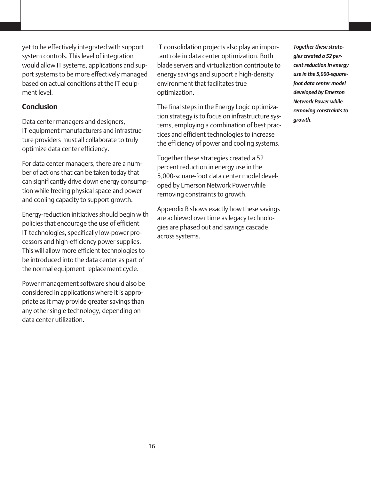yet to be effectively integrated with support system controls. This level of integration would allow IT systems, applications and support systems to be more effectively managed based on actual conditions at the IT equipment level.

### **Conclusion**

Data center managers and designers, IT equipment manufacturers and infrastructure providers must all collaborate to truly optimize data center efficiency.

For data center managers, there are a number of actions that can be taken today that can significantly drive down energy consumption while freeing physical space and power and cooling capacity to support growth.

Energy-reduction initiatives should begin with policies that encourage the use of efficient IT technologies, specifically low-power processors and high-efficiency power supplies. This will allow more efficient technologies to be introduced into the data center as part of the normal equipment replacement cycle.

Power management software should also be considered in applications where it is appropriate as it may provide greater savings than any other single technology, depending on data center utilization.

IT consolidation projects also play an important role in data center optimization. Both blade servers and virtualization contribute to energy savings and support a high-density environment that facilitates true optimization.

The final steps in the Energy Logic optimization strategy is to focus on infrastructure systems, employing a combination of best practices and efficient technologies to increase the efficiency of power and cooling systems.

Together these strategies created a 52 percent reduction in energy use in the 5,000-square-foot data center model developed by Emerson Network Power while removing constraints to growth.

Appendix B shows exactly how these savings are achieved over time as legacy technologies are phased out and savings cascade across systems.

*Together these strategies created a 52 percent reduction in energy use in the 5,000-squarefoot data center model developed by Emerson Network Power while removing constraints to growth.*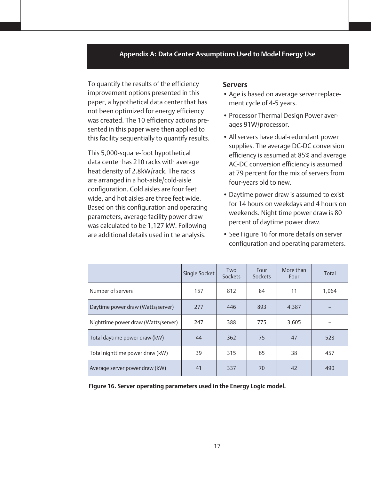#### **Appendix A: Data Center Assumptions Used to Model Energy Use**

To quantify the results of the efficiency improvement options presented in this paper, a hypothetical data center that has not been optimized for energy efficiency was created. The 10 efficiency actions presented in this paper were then applied to this facility sequentially to quantify results.

This 5,000-square-foot hypothetical data center has 210 racks with average heat density of 2.8kW/rack. The racks are arranged in a hot-aisle/cold-aisle configuration. Cold aisles are four feet wide, and hot aisles are three feet wide. Based on this configuration and operating parameters, average facility power draw was calculated to be 1,127 kW. Following are additional details used in the analysis.

#### **Servers**

- Age is based on average server replacement cycle of 4-5 years.
- Processor Thermal Design Power averages 91W/processor.
- All servers have dual-redundant power supplies. The average DC-DC conversion efficiency is assumed at 85% and average AC-DC conversion efficiency is assumed at 79 percent for the mix of servers from four-years old to new.
- Daytime power draw is assumed to exist for 14 hours on weekdays and 4 hours on weekends. Night time power draw is 80 percent of daytime power draw.
- See Figure 16 for more details on server configuration and operating parameters.

|                                     | Single Socket | <b>Two</b><br>Sockets | Four<br>Sockets | More than<br>Four | Total |
|-------------------------------------|---------------|-----------------------|-----------------|-------------------|-------|
| Number of servers                   | 157           | 812                   | 84              | 11                | 1,064 |
| Daytime power draw (Watts/server)   | 277           | 446                   | 893             | 4,387             |       |
| Nighttime power draw (Watts/server) | 247           | 388                   | 775             | 3,605             |       |
| Total daytime power draw (kW)       | 44            | 362                   | 75              | 47                | 528   |
| Total nighttime power draw (kW)     | 39            | 315                   | 65              | 38                | 457   |
| Average server power draw (kW)      | 41            | 337                   | 70              | 42                | 490   |

**Figure 16. Server operating parameters used in the Energy Logic model.**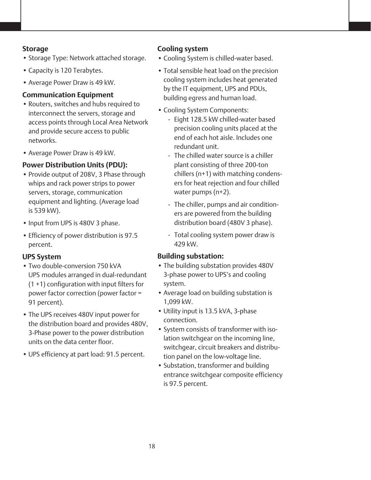### **Storage**

- Storage Type: Network attached storage.
- Capacity is 120 Terabytes.
- Average Power Draw is 49 kW.

## **Communication Equipment**

- • Routers, switches and hubs required to interconnect the servers, storage and access points through Local Area Network and provide secure access to public networks.
- Average Power Draw is 49 kW.

## **Power Distribution Units (PDU):**

- Provide output of 208V, 3 Phase through whips and rack power strips to power servers, storage, communication equipment and lighting. (Average load is 539 kW).
- Input from UPS is 480V 3 phase.
- Efficiency of power distribution is 97.5 percent.

## **UPS System**

- Two double-conversion 750 kVA UPS modules arranged in dual-redundant (1 +1) configuration with input filters for power factor correction (power factor = 91 percent).
- The UPS receives 480V input power for the distribution board and provides 480V, 3-Phase power to the power distribution units on the data center floor.
- UPS efficiency at part load: 91.5 percent.

## **Cooling system**

- • Cooling System is chilled-water based.
- Total sensible heat load on the precision cooling system includes heat generated by the IT equipment, UPS and PDUs, building egress and human load.
- Cooling System Components:
	- Eight 128.5 kW chilled-water based precision cooling units placed at the end of each hot aisle. Includes one redundant unit.
	- The chilled water source is a chiller plant consisting of three 200-ton chillers (n+1) with matching condensers for heat rejection and four chilled water pumps (n+2).
	- The chiller, pumps and air conditioners are powered from the building distribution board (480V 3 phase).
	- Total cooling system power draw is 429 kW.

## **Building substation:**

- The building substation provides 480V 3-phase power to UPS's and cooling system.
- Average load on building substation is 1,099 kW.
- Utility input is 13.5 kVA, 3-phase connection.
- • System consists of transformer with isolation switchgear on the incoming line, switchgear, circuit breakers and distribution panel on the low-voltage line.
- Substation, transformer and building entrance switchgear composite efficiency is 97.5 percent.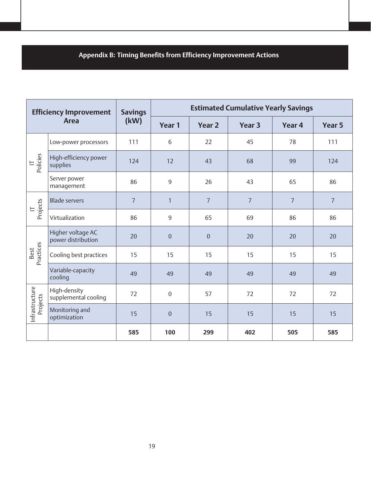# **Appendix B: Timing Benefits from Efficiency Improvement Actions**

| <b>Efficiency Improvement</b><br><b>Area</b> |                                         | <b>Savings</b> | <b>Estimated Cumulative Yearly Savings</b> |                |                |                |                |  |
|----------------------------------------------|-----------------------------------------|----------------|--------------------------------------------|----------------|----------------|----------------|----------------|--|
|                                              |                                         | (kW)           | Year 1                                     | <b>Year 2</b>  | Year 3         | Year 4         | Year 5         |  |
| Policies                                     | Low-power processors                    | 111            | 6                                          | 22             | 45             | 78             | 111            |  |
|                                              | High-efficiency power<br>supplies       | 124            | 12                                         | 43             | 68             | 99             | 124            |  |
|                                              | Server power<br>management              | 86             | 9                                          | 26             | 43             | 65             | 86             |  |
| $IT$<br>Projects                             | <b>Blade servers</b>                    | $\overline{7}$ | $\mathbf{1}$                               | $\overline{7}$ | $\overline{7}$ | $\overline{7}$ | $\overline{7}$ |  |
|                                              | Virtualization                          | 86             | $\overline{9}$                             | 65             | 69             | 86             | 86             |  |
| Practices<br>Best                            | Higher voltage AC<br>power distribution | 20             | $\mathbf{0}$                               | $\overline{0}$ | 20             | 20             | 20             |  |
|                                              | Cooling best practices                  | 15             | 15                                         | 15             | 15             | 15             | 15             |  |
|                                              | Variable-capacity<br>cooling            | 49             | 49                                         | 49             | 49             | 49             | 49             |  |
| Infrastructure<br>Projects                   | High-density<br>supplemental cooling    | 72             | $\mathbf 0$                                | 57             | 72             | 72             | 72             |  |
|                                              | Monitoring and<br>optimization          | 15             | $\mathbf{0}$                               | 15             | 15             | 15             | 15             |  |
|                                              |                                         | 585            | 100                                        | 299            | 402            | 505            | 585            |  |